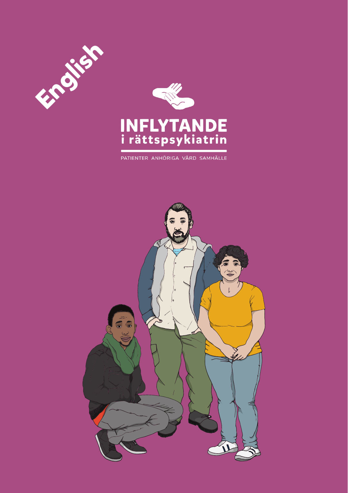



PATIENTER ANHÖRIGA VÅRD SAMHÄLLE

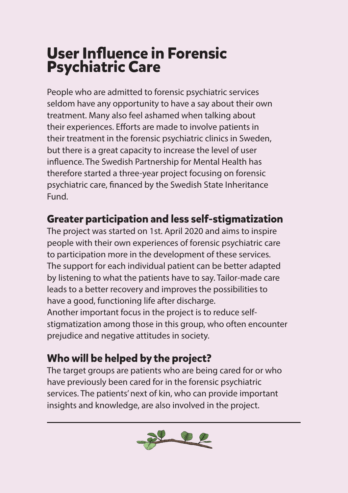# **User Influence in Forensic Psychiatric Care**

People who are admitted to forensic psychiatric services seldom have any opportunity to have a say about their own treatment. Many also feel ashamed when talking about their experiences. Efforts are made to involve patients in their treatment in the forensic psychiatric clinics in Sweden, but there is a great capacity to increase the level of user influence. The Swedish Partnership for Mental Health has therefore started a three-year project focusing on forensic psychiatric care, financed by the Swedish State Inheritance Fund.

#### **Greater participation and less self-stigmatization**

The project was started on 1st. April 2020 and aims to inspire people with their own experiences of forensic psychiatric care to participation more in the development of these services. The support for each individual patient can be better adapted by listening to what the patients have to say. Tailor-made care leads to a better recovery and improves the possibilities to have a good, functioning life after discharge. Another important focus in the project is to reduce selfstigmatization among those in this group, who often encounter prejudice and negative attitudes in society.

### **Who will be helped by the project?**

The target groups are patients who are being cared for or who have previously been cared for in the forensic psychiatric services. The patients' next of kin, who can provide important insights and knowledge, are also involved in the project.

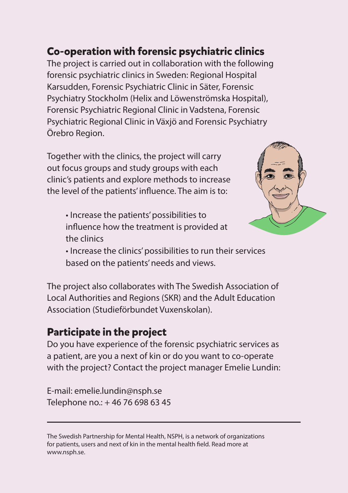#### **Co-operation with forensic psychiatric clinics**

The project is carried out in collaboration with the following forensic psychiatric clinics in Sweden: Regional Hospital Karsudden, Forensic Psychiatric Clinic in Säter, Forensic Psychiatry Stockholm (Helix and Löwenströmska Hospital), Forensic Psychiatric Regional Clinic in Vadstena, Forensic Psychiatric Regional Clinic in Växjö and Forensic Psychiatry Örebro Region.

Together with the clinics, the project will carry out focus groups and study groups with each clinic's patients and explore methods to increase the level of the patients' influence. The aim is to:

• Increase the patients' possibilities to influence how the treatment is provided at the clinics



• Increase the clinics' possibilities to run their services based on the patients' needs and views.

The project also collaborates with The Swedish Association of Local Authorities and Regions (SKR) and the Adult Education Association (Studieförbundet Vuxenskolan).

#### **Participate in the project**

Do you have experience of the forensic psychiatric services as a patient, are you a next of kin or do you want to co-operate with the project? Contact the project manager Emelie Lundin:

E-mail: emelie.lundin@nsph.se Telephone no.: + 46 76 698 63 45

The Swedish Partnership for Mental Health, NSPH, is a network of organizations for patients, users and next of kin in the mental health field. Read more at www.nsph.se.